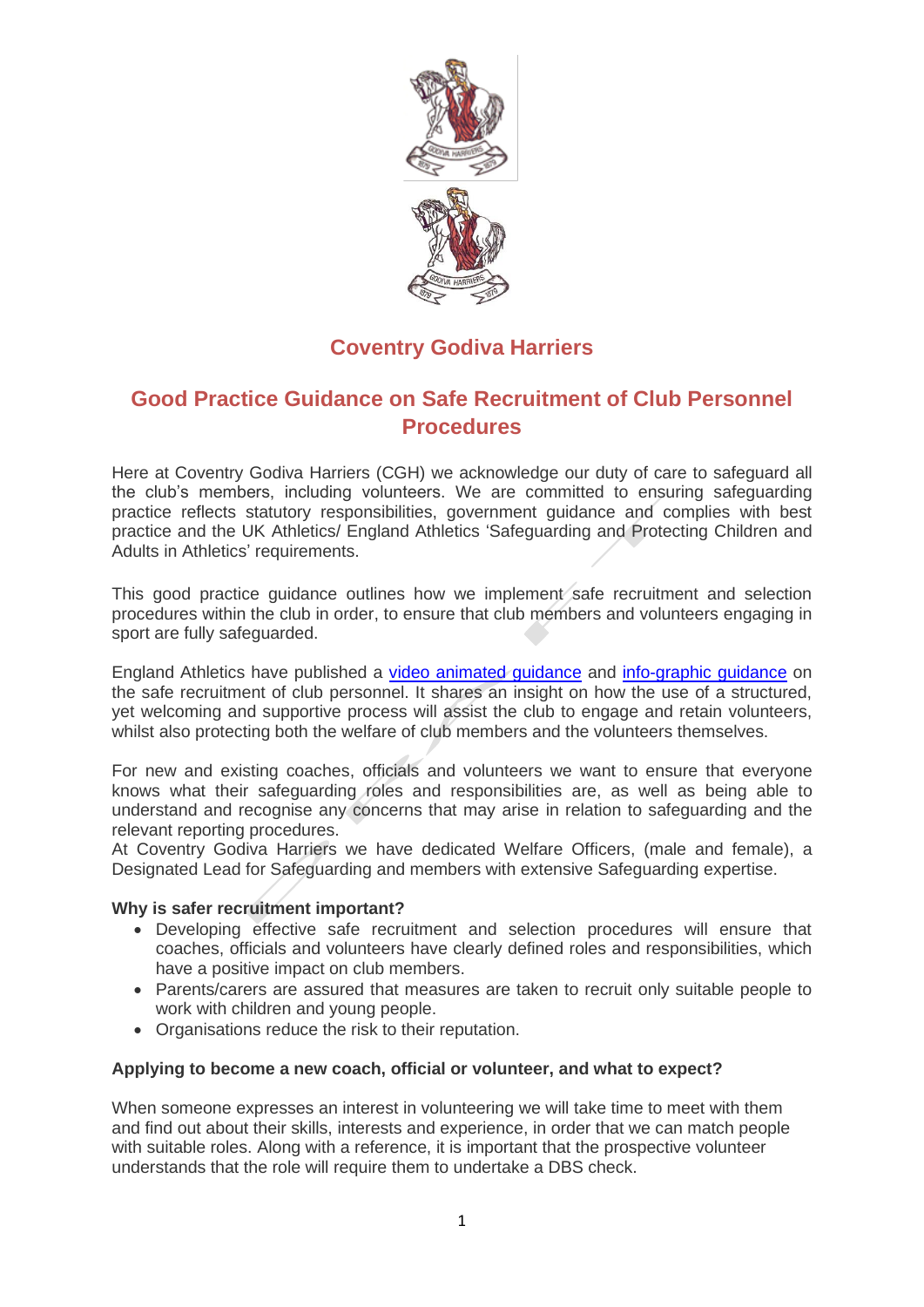

# **Coventry Godiva Harriers**

## **Good Practice Guidance on Safe Recruitment of Club Personnel Procedures**

Here at Coventry Godiva Harriers (CGH) we acknowledge our duty of care to safeguard all the club's members, including volunteers. We are committed to ensuring safeguarding practice reflects statutory responsibilities, government guidance and complies with best practice and the UK Athletics/ England Athletics 'Safeguarding and Protecting Children and Adults in Athletics' requirements.

This good practice guidance outlines how we implement safe recruitment and selection procedures within the club in order, to ensure that club members and volunteers engaging in sport are fully safeguarded.

England Athletics have published a video [animated guidance](https://www.englandathletics.org/resources/view/safer-recruitment-of-club-personnel/) and [info-graphic guidance](https://d192th1lqal2xm.cloudfront.net/2020/03/England-Athletics-Safe-Recruitment.pdf) on the safe recruitment of club personnel. It shares an insight on how the use of a structured, yet welcoming and supportive process will assist the club to engage and retain volunteers, whilst also protecting both the welfare of club members and the volunteers themselves.

For new and existing coaches, officials and volunteers we want to ensure that everyone knows what their safeguarding roles and responsibilities are, as well as being able to understand and recognise any concerns that may arise in relation to safeguarding and the relevant reporting procedures.

At Coventry Godiva Harriers we have dedicated Welfare Officers, (male and female), a Designated Lead for Safeguarding and members with extensive Safeguarding expertise.

## **Why is safer recruitment important?**

- Developing effective safe recruitment and selection procedures will ensure that coaches, officials and volunteers have clearly defined roles and responsibilities, which have a positive impact on club members.
- Parents/carers are assured that measures are taken to recruit only suitable people to work with children and young people.
- Organisations reduce the risk to their reputation.

## **Applying to become a new coach, official or volunteer, and what to expect?**

When someone expresses an interest in volunteering we will take time to meet with them and find out about their skills, interests and experience, in order that we can match people with suitable roles. Along with a reference, it is important that the prospective volunteer understands that the role will require them to undertake a DBS check.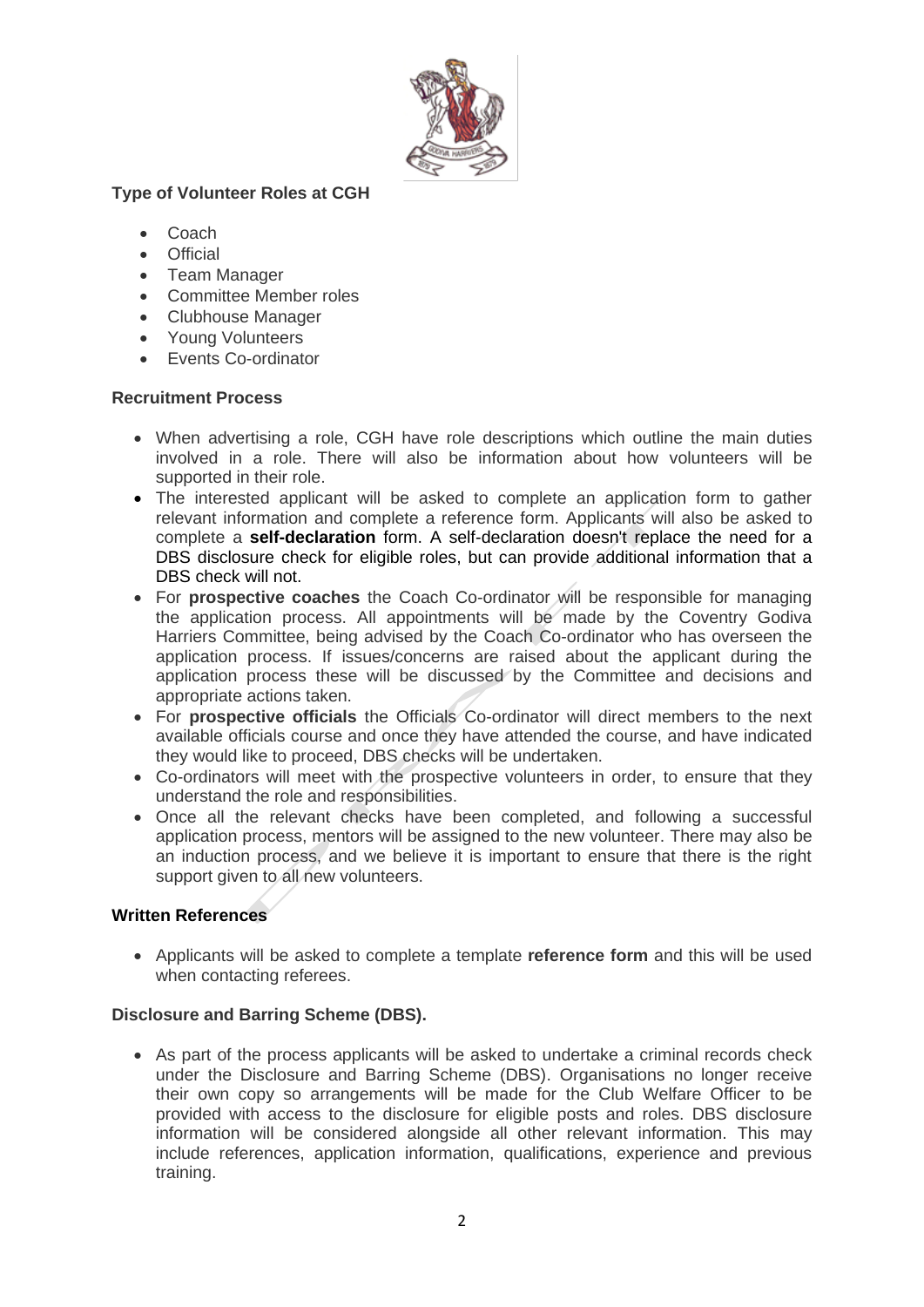

## **Type of Volunteer Roles at CGH**

- Coach
- Official
- Team Manager
- Committee Member roles
- Clubhouse Manager
- Young Volunteers
- Events Co-ordinator

## **Recruitment Process**

- When advertising a role, CGH have role descriptions which outline the main duties involved in a role. There will also be information about how volunteers will be supported in their role.
- The interested applicant will be asked to complete an application form to gather relevant information and complete a reference form. Applicants will also be asked to complete a **self-declaration** form. A self-declaration doesn't replace the need for a DBS disclosure check for eligible roles, but can provide additional information that a DBS check will not.
- For **prospective coaches** the Coach Co-ordinator will be responsible for managing the application process. All appointments will be made by the Coventry Godiva Harriers Committee, being advised by the Coach Co-ordinator who has overseen the application process. If issues/concerns are raised about the applicant during the application process these will be discussed by the Committee and decisions and appropriate actions taken.
- For **prospective officials** the Officials Co-ordinator will direct members to the next available officials course and once they have attended the course, and have indicated they would like to proceed, DBS checks will be undertaken.
- Co-ordinators will meet with the prospective volunteers in order, to ensure that they understand the role and responsibilities.
- Once all the relevant checks have been completed, and following a successful application process, mentors will be assigned to the new volunteer. There may also be an induction process, and we believe it is important to ensure that there is the right support given to all new volunteers.

## **Written References**

• Applicants will be asked to complete a template **reference form** and this will be used when contacting referees.

## **Disclosure and Barring Scheme (DBS).**

• As part of the process applicants will be asked to undertake a criminal records check under the Disclosure and Barring Scheme (DBS). Organisations no longer receive their own copy so arrangements will be made for the Club Welfare Officer to be provided with access to the disclosure for eligible posts and roles. DBS disclosure information will be considered alongside all other relevant information. This may include references, application information, qualifications, experience and previous training.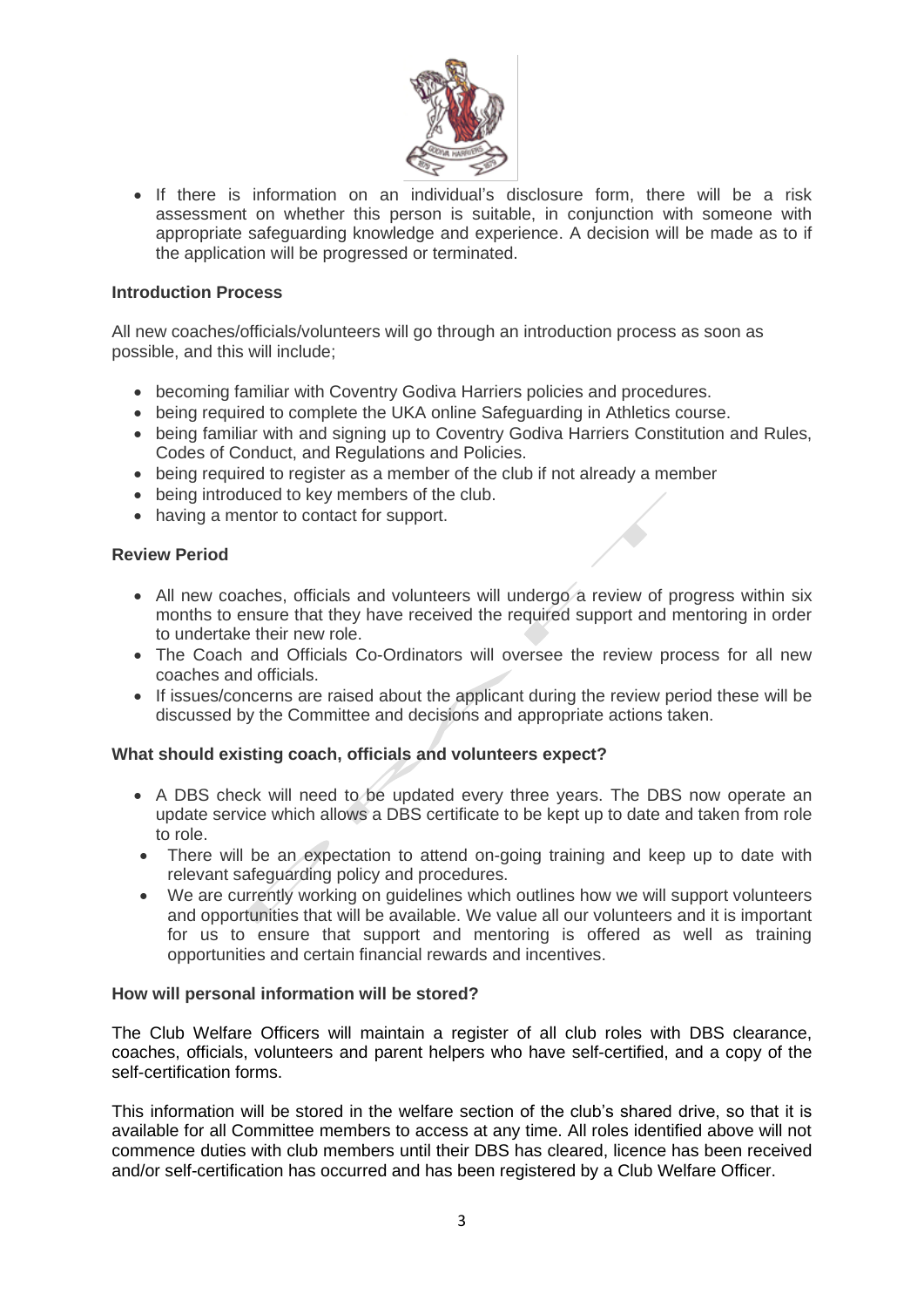

• If there is information on an individual's disclosure form, there will be a risk assessment on whether this person is suitable, in conjunction with someone with appropriate safeguarding knowledge and experience. A decision will be made as to if the application will be progressed or terminated.

#### **Introduction Process**

All new coaches/officials/volunteers will go through an introduction process as soon as possible, and this will include;

- becoming familiar with Coventry Godiva Harriers policies and procedures.
- being required to complete the UKA online Safeguarding in Athletics course.
- being familiar with and signing up to Coventry Godiva Harriers Constitution and Rules, Codes of Conduct, and Regulations and Policies.
- being required to register as a member of the club if not already a member
- being introduced to key members of the club.
- having a mentor to contact for support.

#### **Review Period**

- All new coaches, officials and volunteers will undergo a review of progress within six months to ensure that they have received the required support and mentoring in order to undertake their new role.
- The Coach and Officials Co-Ordinators will oversee the review process for all new coaches and officials.
- If issues/concerns are raised about the applicant during the review period these will be discussed by the Committee and decisions and appropriate actions taken.

#### **What should existing coach, officials and volunteers expect?**

- A DBS check will need to be updated every three years. The DBS now operate an update service which allows a DBS certificate to be kept up to date and taken from role to role.
- There will be an expectation to attend on-going training and keep up to date with relevant safeguarding policy and procedures.
- We are currently working on guidelines which outlines how we will support volunteers and opportunities that will be available. We value all our volunteers and it is important for us to ensure that support and mentoring is offered as well as training opportunities and certain financial rewards and incentives.

#### **How will personal information will be stored?**

The Club Welfare Officers will maintain a register of all club roles with DBS clearance, coaches, officials, volunteers and parent helpers who have self-certified, and a copy of the self-certification forms.

This information will be stored in the welfare section of the club's shared drive, so that it is available for all Committee members to access at any time. All roles identified above will not commence duties with club members until their DBS has cleared, licence has been received and/or self-certification has occurred and has been registered by a Club Welfare Officer.